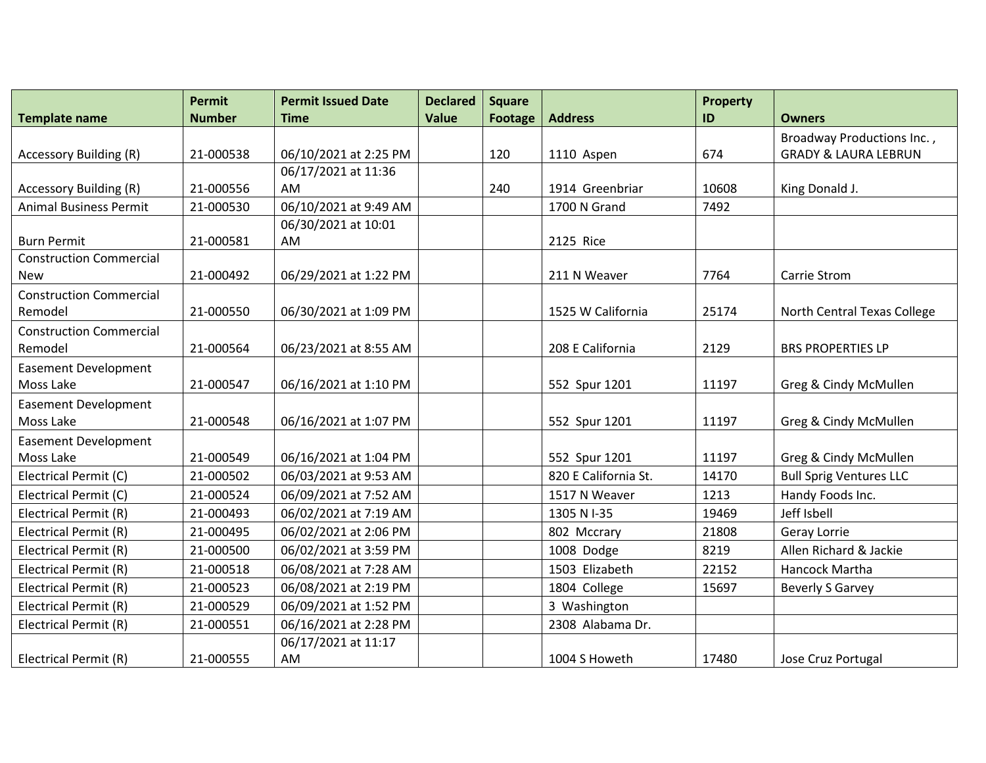|                                | <b>Permit</b> | <b>Permit Issued Date</b> | <b>Declared</b><br><b>Value</b> | <b>Square</b>  |                      | <b>Property</b> |                                 |
|--------------------------------|---------------|---------------------------|---------------------------------|----------------|----------------------|-----------------|---------------------------------|
| <b>Template name</b>           | <b>Number</b> | <b>Time</b>               |                                 | <b>Footage</b> | <b>Address</b>       | ID              | <b>Owners</b>                   |
|                                |               | 06/10/2021 at 2:25 PM     |                                 |                |                      | 674             | Broadway Productions Inc.,      |
| <b>Accessory Building (R)</b>  | 21-000538     | 06/17/2021 at 11:36       |                                 | 120            | 1110 Aspen           |                 | <b>GRADY &amp; LAURA LEBRUN</b> |
| <b>Accessory Building (R)</b>  | 21-000556     | AM                        |                                 | 240            | 1914 Greenbriar      | 10608           | King Donald J.                  |
| <b>Animal Business Permit</b>  | 21-000530     | 06/10/2021 at 9:49 AM     |                                 |                | 1700 N Grand         | 7492            |                                 |
|                                |               | 06/30/2021 at 10:01       |                                 |                |                      |                 |                                 |
| <b>Burn Permit</b>             | 21-000581     | AM                        |                                 |                | 2125 Rice            |                 |                                 |
| <b>Construction Commercial</b> |               |                           |                                 |                |                      |                 |                                 |
| New                            | 21-000492     | 06/29/2021 at 1:22 PM     |                                 |                | 211 N Weaver         | 7764            | Carrie Strom                    |
| <b>Construction Commercial</b> |               |                           |                                 |                |                      |                 |                                 |
| Remodel                        | 21-000550     | 06/30/2021 at 1:09 PM     |                                 |                | 1525 W California    | 25174           | North Central Texas College     |
| <b>Construction Commercial</b> |               |                           |                                 |                |                      |                 |                                 |
| Remodel                        | 21-000564     | 06/23/2021 at 8:55 AM     |                                 |                | 208 E California     | 2129            | <b>BRS PROPERTIES LP</b>        |
| <b>Easement Development</b>    |               |                           |                                 |                |                      |                 |                                 |
| Moss Lake                      | 21-000547     | 06/16/2021 at 1:10 PM     |                                 |                | 552 Spur 1201        | 11197           | Greg & Cindy McMullen           |
| <b>Easement Development</b>    |               |                           |                                 |                |                      |                 |                                 |
| Moss Lake                      | 21-000548     | 06/16/2021 at 1:07 PM     |                                 |                | 552 Spur 1201        | 11197           | Greg & Cindy McMullen           |
| <b>Easement Development</b>    |               |                           |                                 |                |                      |                 |                                 |
| Moss Lake                      | 21-000549     | 06/16/2021 at 1:04 PM     |                                 |                | 552 Spur 1201        | 11197           | Greg & Cindy McMullen           |
| Electrical Permit (C)          | 21-000502     | 06/03/2021 at 9:53 AM     |                                 |                | 820 E California St. | 14170           | <b>Bull Sprig Ventures LLC</b>  |
| Electrical Permit (C)          | 21-000524     | 06/09/2021 at 7:52 AM     |                                 |                | 1517 N Weaver        | 1213            | Handy Foods Inc.                |
| Electrical Permit (R)          | 21-000493     | 06/02/2021 at 7:19 AM     |                                 |                | 1305 N I-35          | 19469           | Jeff Isbell                     |
| Electrical Permit (R)          | 21-000495     | 06/02/2021 at 2:06 PM     |                                 |                | 802 Mccrary          | 21808           | Geray Lorrie                    |
| Electrical Permit (R)          | 21-000500     | 06/02/2021 at 3:59 PM     |                                 |                | 1008 Dodge           | 8219            | Allen Richard & Jackie          |
| Electrical Permit (R)          | 21-000518     | 06/08/2021 at 7:28 AM     |                                 |                | 1503 Elizabeth       | 22152           | Hancock Martha                  |
| Electrical Permit (R)          | 21-000523     | 06/08/2021 at 2:19 PM     |                                 |                | 1804 College         | 15697           | <b>Beverly S Garvey</b>         |
| Electrical Permit (R)          | 21-000529     | 06/09/2021 at 1:52 PM     |                                 |                | 3 Washington         |                 |                                 |
| Electrical Permit (R)          | 21-000551     | 06/16/2021 at 2:28 PM     |                                 |                | 2308 Alabama Dr.     |                 |                                 |
|                                |               | 06/17/2021 at 11:17       |                                 |                |                      |                 |                                 |
| Electrical Permit (R)          | 21-000555     | AM                        |                                 |                | 1004 S Howeth        | 17480           | Jose Cruz Portugal              |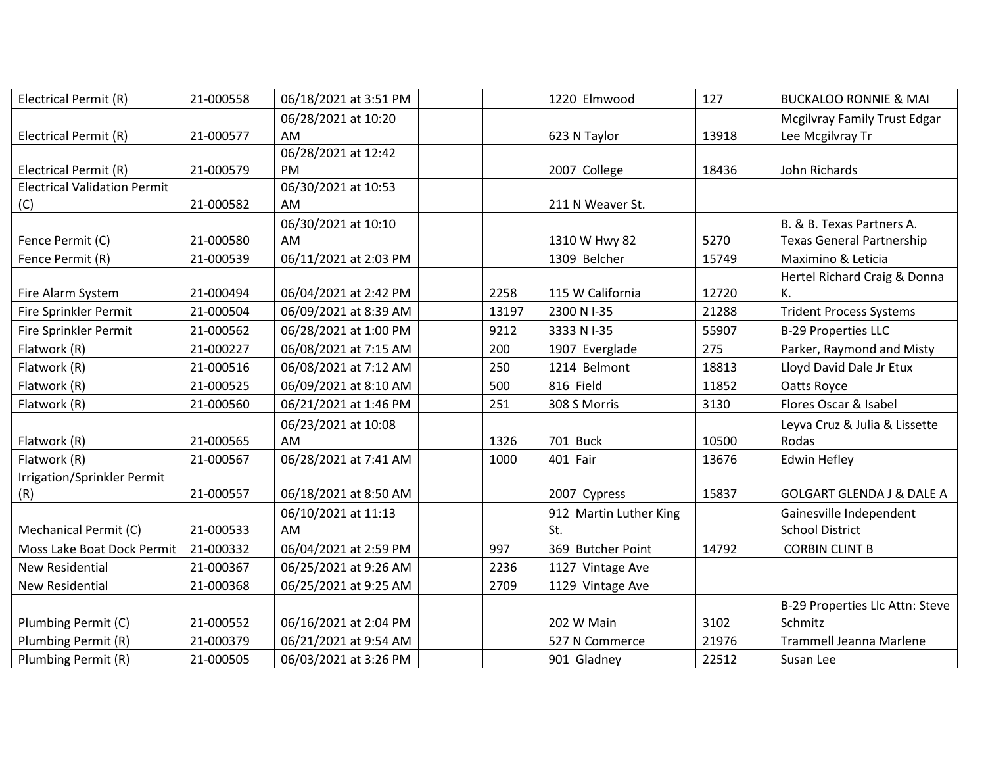| Electrical Permit (R)               | 21-000558 | 06/18/2021 at 3:51 PM |       | 1220 Elmwood           | 127   | <b>BUCKALOO RONNIE &amp; MAI</b>     |
|-------------------------------------|-----------|-----------------------|-------|------------------------|-------|--------------------------------------|
|                                     |           | 06/28/2021 at 10:20   |       |                        |       | <b>Mcgilvray Family Trust Edgar</b>  |
| Electrical Permit (R)               | 21-000577 | AM                    |       | 623 N Taylor           | 13918 | Lee Mcgilvray Tr                     |
|                                     |           | 06/28/2021 at 12:42   |       |                        |       |                                      |
| Electrical Permit (R)               | 21-000579 | <b>PM</b>             |       | 2007 College           | 18436 | John Richards                        |
| <b>Electrical Validation Permit</b> |           | 06/30/2021 at 10:53   |       |                        |       |                                      |
| (C)                                 | 21-000582 | AM                    |       | 211 N Weaver St.       |       |                                      |
|                                     |           | 06/30/2021 at 10:10   |       |                        |       | B. & B. Texas Partners A.            |
| Fence Permit (C)                    | 21-000580 | AM                    |       | 1310 W Hwy 82          | 5270  | <b>Texas General Partnership</b>     |
| Fence Permit (R)                    | 21-000539 | 06/11/2021 at 2:03 PM |       | 1309 Belcher           | 15749 | Maximino & Leticia                   |
|                                     |           |                       |       |                        |       | Hertel Richard Craig & Donna         |
| Fire Alarm System                   | 21-000494 | 06/04/2021 at 2:42 PM | 2258  | 115 W California       | 12720 | К.                                   |
| Fire Sprinkler Permit               | 21-000504 | 06/09/2021 at 8:39 AM | 13197 | 2300 N I-35            | 21288 | <b>Trident Process Systems</b>       |
| Fire Sprinkler Permit               | 21-000562 | 06/28/2021 at 1:00 PM | 9212  | 3333 N I-35            | 55907 | <b>B-29 Properties LLC</b>           |
| Flatwork (R)                        | 21-000227 | 06/08/2021 at 7:15 AM | 200   | 1907 Everglade         | 275   | Parker, Raymond and Misty            |
| Flatwork (R)                        | 21-000516 | 06/08/2021 at 7:12 AM | 250   | 1214 Belmont           | 18813 | Lloyd David Dale Jr Etux             |
| Flatwork (R)                        | 21-000525 | 06/09/2021 at 8:10 AM | 500   | 816 Field              | 11852 | Oatts Royce                          |
| Flatwork (R)                        | 21-000560 | 06/21/2021 at 1:46 PM | 251   | 308 S Morris           | 3130  | Flores Oscar & Isabel                |
|                                     |           | 06/23/2021 at 10:08   |       |                        |       | Leyva Cruz & Julia & Lissette        |
| Flatwork (R)                        | 21-000565 | AM                    | 1326  | 701 Buck               | 10500 | Rodas                                |
| Flatwork (R)                        | 21-000567 | 06/28/2021 at 7:41 AM | 1000  | 401 Fair               | 13676 | <b>Edwin Hefley</b>                  |
| Irrigation/Sprinkler Permit         |           |                       |       |                        |       |                                      |
| (R)                                 | 21-000557 | 06/18/2021 at 8:50 AM |       | 2007 Cypress           | 15837 | <b>GOLGART GLENDA J &amp; DALE A</b> |
|                                     |           | 06/10/2021 at 11:13   |       | 912 Martin Luther King |       | Gainesville Independent              |
| Mechanical Permit (C)               | 21-000533 | AM                    |       | St.                    |       | <b>School District</b>               |
| Moss Lake Boat Dock Permit          | 21-000332 | 06/04/2021 at 2:59 PM | 997   | 369 Butcher Point      | 14792 | <b>CORBIN CLINT B</b>                |
| <b>New Residential</b>              | 21-000367 | 06/25/2021 at 9:26 AM | 2236  | 1127 Vintage Ave       |       |                                      |
| New Residential                     | 21-000368 | 06/25/2021 at 9:25 AM | 2709  | 1129 Vintage Ave       |       |                                      |
|                                     |           |                       |       |                        |       | B-29 Properties Llc Attn: Steve      |
| Plumbing Permit (C)                 | 21-000552 | 06/16/2021 at 2:04 PM |       | 202 W Main             | 3102  | Schmitz                              |
| Plumbing Permit (R)                 | 21-000379 | 06/21/2021 at 9:54 AM |       | 527 N Commerce         | 21976 | Trammell Jeanna Marlene              |
| Plumbing Permit (R)                 | 21-000505 | 06/03/2021 at 3:26 PM |       | 901 Gladney            | 22512 | Susan Lee                            |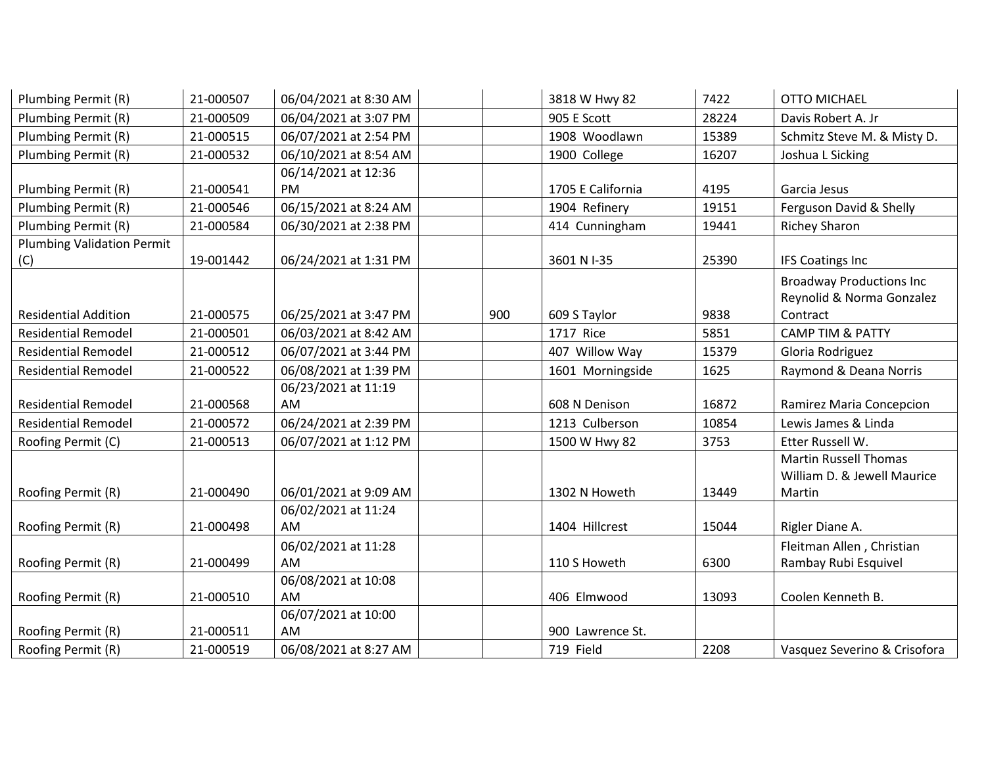| Plumbing Permit (R)               | 21-000507 | 06/04/2021 at 8:30 AM |     | 3818 W Hwy 82     | 7422  | <b>OTTO MICHAEL</b>             |
|-----------------------------------|-----------|-----------------------|-----|-------------------|-------|---------------------------------|
| Plumbing Permit (R)               | 21-000509 | 06/04/2021 at 3:07 PM |     | 905 E Scott       | 28224 | Davis Robert A. Jr              |
| Plumbing Permit (R)               | 21-000515 | 06/07/2021 at 2:54 PM |     | 1908 Woodlawn     | 15389 | Schmitz Steve M. & Misty D.     |
| Plumbing Permit (R)               | 21-000532 | 06/10/2021 at 8:54 AM |     | 1900 College      | 16207 | Joshua L Sicking                |
|                                   |           | 06/14/2021 at 12:36   |     |                   |       |                                 |
| Plumbing Permit (R)               | 21-000541 | PM                    |     | 1705 E California | 4195  | Garcia Jesus                    |
| Plumbing Permit (R)               | 21-000546 | 06/15/2021 at 8:24 AM |     | 1904 Refinery     | 19151 | Ferguson David & Shelly         |
| Plumbing Permit (R)               | 21-000584 | 06/30/2021 at 2:38 PM |     | 414 Cunningham    | 19441 | <b>Richey Sharon</b>            |
| <b>Plumbing Validation Permit</b> |           |                       |     |                   |       |                                 |
| (C)                               | 19-001442 | 06/24/2021 at 1:31 PM |     | 3601 N I-35       | 25390 | <b>IFS Coatings Inc</b>         |
|                                   |           |                       |     |                   |       | <b>Broadway Productions Inc</b> |
|                                   |           |                       |     |                   |       | Reynolid & Norma Gonzalez       |
| <b>Residential Addition</b>       | 21-000575 | 06/25/2021 at 3:47 PM | 900 | 609 S Taylor      | 9838  | Contract                        |
| <b>Residential Remodel</b>        | 21-000501 | 06/03/2021 at 8:42 AM |     | 1717 Rice         | 5851  | <b>CAMP TIM &amp; PATTY</b>     |
| <b>Residential Remodel</b>        | 21-000512 | 06/07/2021 at 3:44 PM |     | 407 Willow Way    | 15379 | Gloria Rodriguez                |
| <b>Residential Remodel</b>        | 21-000522 | 06/08/2021 at 1:39 PM |     | 1601 Morningside  | 1625  | Raymond & Deana Norris          |
|                                   |           | 06/23/2021 at 11:19   |     |                   |       |                                 |
| <b>Residential Remodel</b>        | 21-000568 | AM                    |     | 608 N Denison     | 16872 | Ramirez Maria Concepcion        |
| <b>Residential Remodel</b>        | 21-000572 | 06/24/2021 at 2:39 PM |     | 1213 Culberson    | 10854 | Lewis James & Linda             |
| Roofing Permit (C)                | 21-000513 | 06/07/2021 at 1:12 PM |     | 1500 W Hwy 82     | 3753  | Etter Russell W.                |
|                                   |           |                       |     |                   |       | <b>Martin Russell Thomas</b>    |
|                                   |           |                       |     |                   |       | William D. & Jewell Maurice     |
| Roofing Permit (R)                | 21-000490 | 06/01/2021 at 9:09 AM |     | 1302 N Howeth     | 13449 | Martin                          |
|                                   |           | 06/02/2021 at 11:24   |     |                   |       |                                 |
| Roofing Permit (R)                | 21-000498 | <b>AM</b>             |     | 1404 Hillcrest    | 15044 | Rigler Diane A.                 |
|                                   |           | 06/02/2021 at 11:28   |     |                   |       | Fleitman Allen, Christian       |
| Roofing Permit (R)                | 21-000499 | <b>AM</b>             |     | 110 S Howeth      | 6300  | Rambay Rubi Esquivel            |
|                                   |           | 06/08/2021 at 10:08   |     |                   |       |                                 |
| Roofing Permit (R)                | 21-000510 | AM                    |     | 406 Elmwood       | 13093 | Coolen Kenneth B.               |
|                                   |           | 06/07/2021 at 10:00   |     |                   |       |                                 |
| Roofing Permit (R)                | 21-000511 | <b>AM</b>             |     | 900 Lawrence St.  |       |                                 |
| Roofing Permit (R)                | 21-000519 | 06/08/2021 at 8:27 AM |     | 719 Field         | 2208  | Vasquez Severino & Crisofora    |